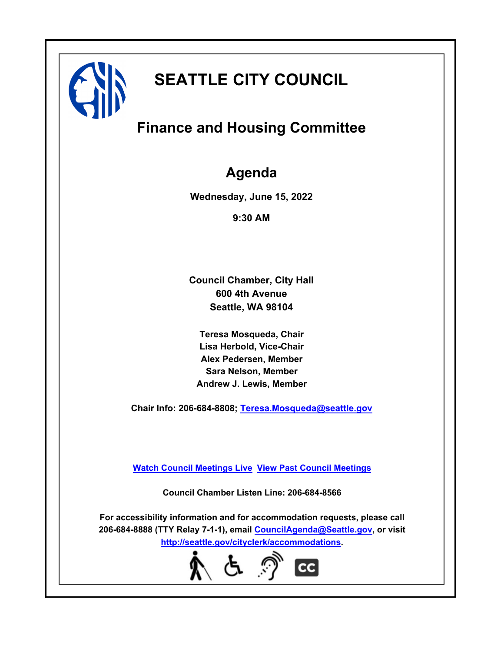

# **SEATTLE CITY COUNCIL**

## **Finance and Housing Committee**

## **Agenda**

**Wednesday, June 15, 2022**

**9:30 AM**

**Council Chamber, City Hall 600 4th Avenue Seattle, WA 98104**

**Teresa Mosqueda, Chair Lisa Herbold, Vice-Chair Alex Pedersen, Member Sara Nelson, Member Andrew J. Lewis, Member**

**Chair Info: 206-684-8808; [Teresa.Mosqueda@seattle.gov](mailto: Teresa.Mosqueda@seattle.gov)**

**[Watch Council Meetings Live](http://www.seattle.gov/council/councillive.htm) [View Past Council Meetings](http://www.seattlechannel.org/videos/browseVideos.asp?topic=council)**

**Council Chamber Listen Line: 206-684-8566**

**For accessibility information and for accommodation requests, please call 206-684-8888 (TTY Relay 7-1-1), email [CouncilAgenda@Seattle.gov](mailto: CouncilAgenda@Seattle.gov), or visit <http://seattle.gov/cityclerk/accommodations>.**

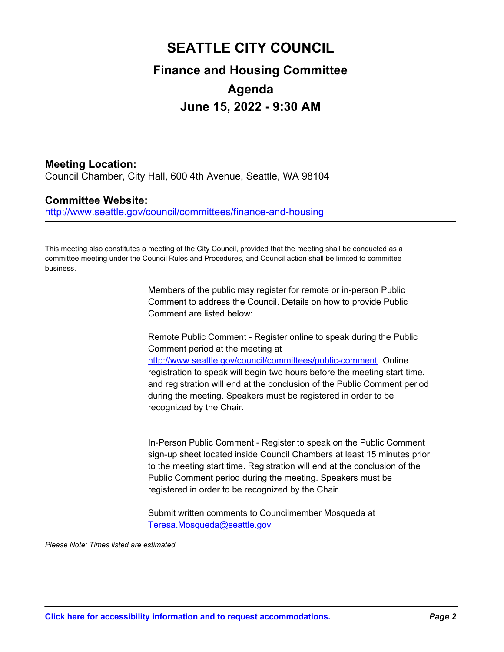## **SEATTLE CITY COUNCIL Finance and Housing Committee Agenda June 15, 2022 - 9:30 AM**

## **Meeting Location:**

Council Chamber, City Hall, 600 4th Avenue, Seattle, WA 98104

### **Committee Website:**

http://www.seattle.gov/council/committees/finance-and-housing

This meeting also constitutes a meeting of the City Council, provided that the meeting shall be conducted as a committee meeting under the Council Rules and Procedures, and Council action shall be limited to committee business.

> Members of the public may register for remote or in-person Public Comment to address the Council. Details on how to provide Public Comment are listed below:

Remote Public Comment - Register online to speak during the Public Comment period at the meeting at http://www.seattle.gov/council/committees/public-comment. Online registration to speak will begin two hours before the meeting start time, and registration will end at the conclusion of the Public Comment period during the meeting. Speakers must be registered in order to be recognized by the Chair.

In-Person Public Comment - Register to speak on the Public Comment sign-up sheet located inside Council Chambers at least 15 minutes prior to the meeting start time. Registration will end at the conclusion of the Public Comment period during the meeting. Speakers must be registered in order to be recognized by the Chair.

Submit written comments to Councilmember Mosqueda at Teresa.Mosqueda@seattle.gov

*Please Note: Times listed are estimated*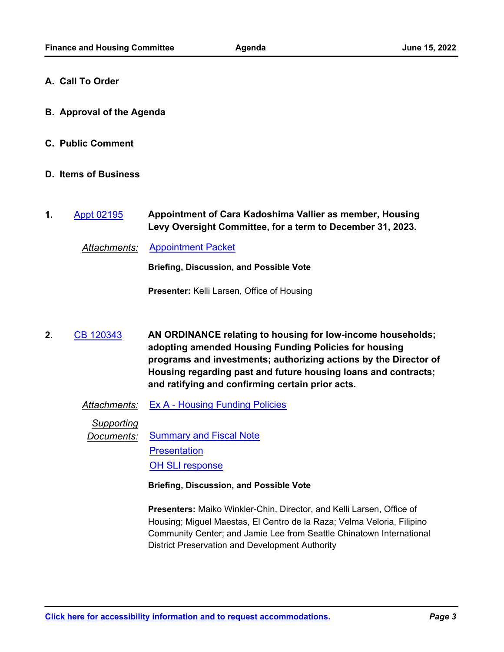- **A. Call To Order**
- **B. Approval of the Agenda**
- **C. Public Comment**
- **D. Items of Business**
- **Appointment of Cara Kadoshima Vallier as member, Housing Levy Oversight Committee, for a term to December 31, 2023. 1.** [Appt 02195](http://seattle.legistar.com/gateway.aspx?m=l&id=/matter.aspx?key=12927)

*Attachments:* [Appointment Packet](http://seattle.legistar.com/gateway.aspx?M=F&ID=6d719d21-00c7-4937-a19e-3dedbf57603f.pdf)

**Briefing, Discussion, and Possible Vote**

**Presenter:** Kelli Larsen, Office of Housing

**AN ORDINANCE relating to housing for low-income households; adopting amended Housing Funding Policies for housing programs and investments; authorizing actions by the Director of Housing regarding past and future housing loans and contracts; and ratifying and confirming certain prior acts. 2.** [CB 120343](http://seattle.legistar.com/gateway.aspx?m=l&id=/matter.aspx?key=12992)

*Attachments:* [Ex A - Housing Funding Policies](http://seattle.legistar.com/gateway.aspx?M=F&ID=af84f57d-a691-46b6-a6da-f48e3579c2d2.docx)

*Supporting*

**Documents:** [Summary and Fiscal Note](http://seattle.legistar.com/gateway.aspx?M=F&ID=019678b0-44ca-42ee-b4d7-48724523286d.docx) **[Presentation](http://seattle.legistar.com/gateway.aspx?M=F&ID=951bb2d7-324d-4918-a87b-f285f52c7d2f.pptx)** [OH SLI response](http://seattle.legistar.com/gateway.aspx?M=F&ID=f57eb975-9553-4089-90b5-e6f2eb380f51.pdf)

**Briefing, Discussion, and Possible Vote**

**Presenters:** Maiko Winkler-Chin, Director, and Kelli Larsen, Office of Housing; Miguel Maestas, El Centro de la Raza; Velma Veloria, Filipino Community Center; and Jamie Lee from Seattle Chinatown International District Preservation and Development Authority